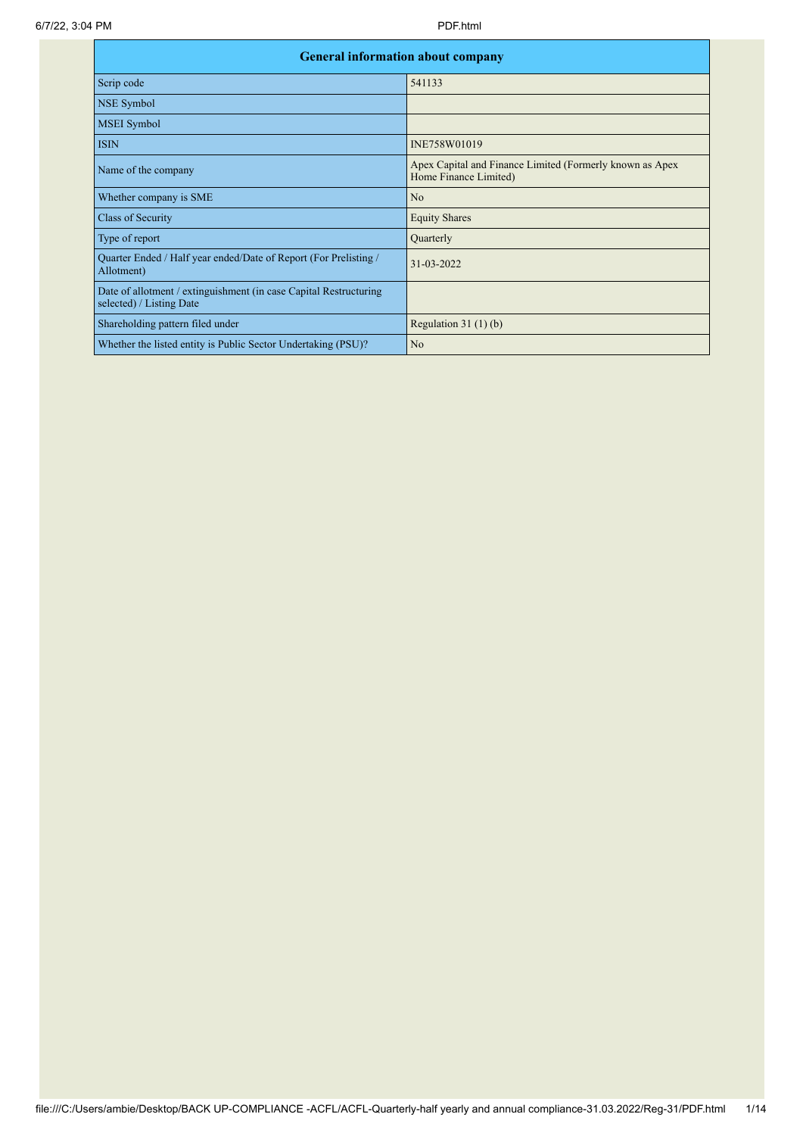| <b>General information about company</b>                                                      |                                                                                   |
|-----------------------------------------------------------------------------------------------|-----------------------------------------------------------------------------------|
| Scrip code                                                                                    | 541133                                                                            |
| <b>NSE Symbol</b>                                                                             |                                                                                   |
| <b>MSEI</b> Symbol                                                                            |                                                                                   |
| <b>ISIN</b>                                                                                   | INE758W01019                                                                      |
| Name of the company                                                                           | Apex Capital and Finance Limited (Formerly known as Apex<br>Home Finance Limited) |
| Whether company is SME                                                                        | N <sub>o</sub>                                                                    |
| Class of Security                                                                             | <b>Equity Shares</b>                                                              |
| Type of report                                                                                | Quarterly                                                                         |
| Quarter Ended / Half year ended/Date of Report (For Prelisting /<br>Allotment)                | 31-03-2022                                                                        |
| Date of allotment / extinguishment (in case Capital Restructuring<br>selected) / Listing Date |                                                                                   |
| Shareholding pattern filed under                                                              | Regulation $31(1)(b)$                                                             |
| Whether the listed entity is Public Sector Undertaking (PSU)?                                 | N <sub>o</sub>                                                                    |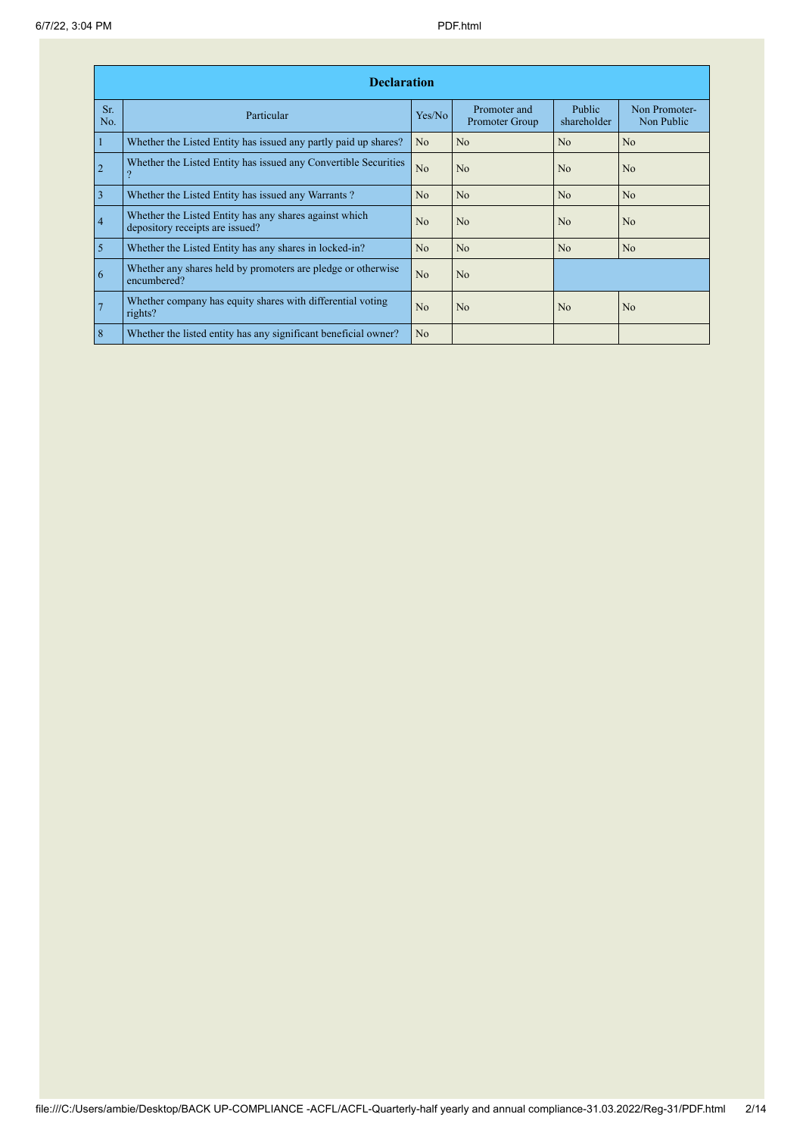|                | <b>Declaration</b>                                                                        |                |                                |                       |                             |  |  |  |  |  |  |
|----------------|-------------------------------------------------------------------------------------------|----------------|--------------------------------|-----------------------|-----------------------------|--|--|--|--|--|--|
| Sr.<br>No.     | Particular                                                                                | Yes/No         | Promoter and<br>Promoter Group | Public<br>shareholder | Non Promoter-<br>Non Public |  |  |  |  |  |  |
| $\mathbf{1}$   | Whether the Listed Entity has issued any partly paid up shares?                           | N <sub>o</sub> | No                             | N <sub>o</sub>        | N <sub>o</sub>              |  |  |  |  |  |  |
| $\overline{2}$ | Whether the Listed Entity has issued any Convertible Securities                           | No             | No                             | N <sub>0</sub>        | N <sub>0</sub>              |  |  |  |  |  |  |
| $\overline{3}$ | Whether the Listed Entity has issued any Warrants?                                        | No.            | N <sub>o</sub>                 | N <sub>o</sub>        | N <sub>o</sub>              |  |  |  |  |  |  |
| $\overline{4}$ | Whether the Listed Entity has any shares against which<br>depository receipts are issued? | N <sub>0</sub> | No                             | N <sub>0</sub>        | N <sub>0</sub>              |  |  |  |  |  |  |
| $\overline{5}$ | Whether the Listed Entity has any shares in locked-in?                                    | No.            | N <sub>o</sub>                 | N <sub>o</sub>        | N <sub>o</sub>              |  |  |  |  |  |  |
| 6              | Whether any shares held by promoters are pledge or otherwise<br>encumbered?               | No             | No                             |                       |                             |  |  |  |  |  |  |
| $\overline{7}$ | Whether company has equity shares with differential voting<br>rights?                     | No             | No                             | N <sub>o</sub>        | No                          |  |  |  |  |  |  |
| $\overline{8}$ | Whether the listed entity has any significant beneficial owner?                           | N <sub>o</sub> |                                |                       |                             |  |  |  |  |  |  |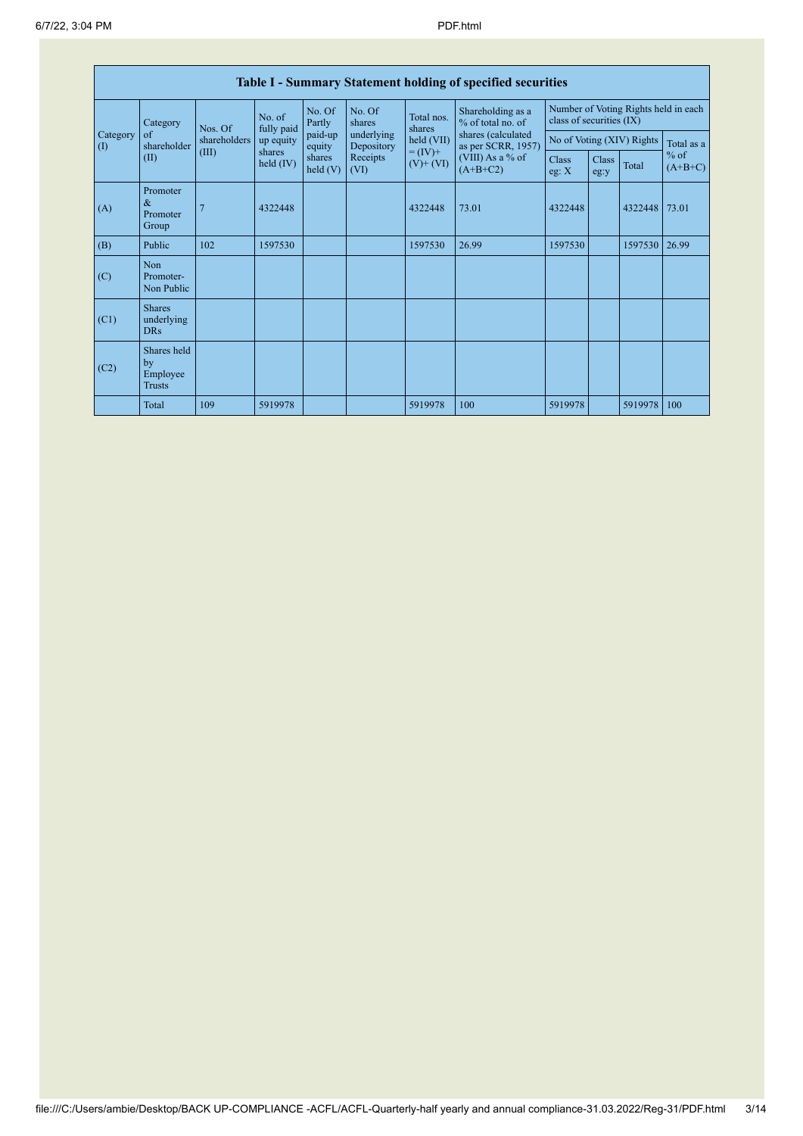|                                        | <b>Table I - Summary Statement holding of specified securities</b> |                                                                    |                          |                   |                          |                              |                                          |                                                                  |                      |         |                     |  |
|----------------------------------------|--------------------------------------------------------------------|--------------------------------------------------------------------|--------------------------|-------------------|--------------------------|------------------------------|------------------------------------------|------------------------------------------------------------------|----------------------|---------|---------------------|--|
|                                        | Category                                                           | No. of<br>fully paid<br>Nos. Of<br>shareholders<br>(III)<br>shares |                          | No. Of<br>Partly  | No. Of<br>shares         | Total nos.<br>shares         | Shareholding as a<br>% of total no. of   | Number of Voting Rights held in each<br>class of securities (IX) |                      |         |                     |  |
| Category<br>$\left( \mathrm{I}\right)$ | of<br>shareholder                                                  |                                                                    | up equity<br>held $(IV)$ | paid-up<br>equity | underlying<br>Depository | held (VII)                   | shares (calculated<br>as per SCRR, 1957) | No of Voting (XIV) Rights                                        |                      |         | Total as a          |  |
|                                        | (II)                                                               |                                                                    |                          | shares<br>held(V) | Receipts<br>(VI)         | $= (IV) +$<br>$(V)$ + $(VI)$ | (VIII) As a % of<br>$(A+B+C2)$           | <b>Class</b><br>eg: X                                            | <b>Class</b><br>eg:y | Total   | $%$ of<br>$(A+B+C)$ |  |
| (A)                                    | Promoter<br>$\&$<br>Promoter<br>Group                              |                                                                    | 4322448                  |                   |                          | 4322448                      | 73.01                                    | 4322448                                                          |                      | 4322448 | 73.01               |  |
| (B)                                    | Public                                                             | 102                                                                | 1597530                  |                   |                          | 1597530                      | 26.99                                    | 1597530                                                          |                      | 1597530 | 26.99               |  |
| (C)                                    | Non<br>Promoter-<br>Non Public                                     |                                                                    |                          |                   |                          |                              |                                          |                                                                  |                      |         |                     |  |
| (C1)                                   | <b>Shares</b><br>underlying<br><b>DRs</b>                          |                                                                    |                          |                   |                          |                              |                                          |                                                                  |                      |         |                     |  |
| (C2)                                   | Shares held<br>by<br>Employee<br>Trusts                            |                                                                    |                          |                   |                          |                              |                                          |                                                                  |                      |         |                     |  |
|                                        | Total                                                              | 109                                                                | 5919978                  |                   |                          | 5919978                      | 100                                      | 5919978                                                          |                      | 5919978 | 100                 |  |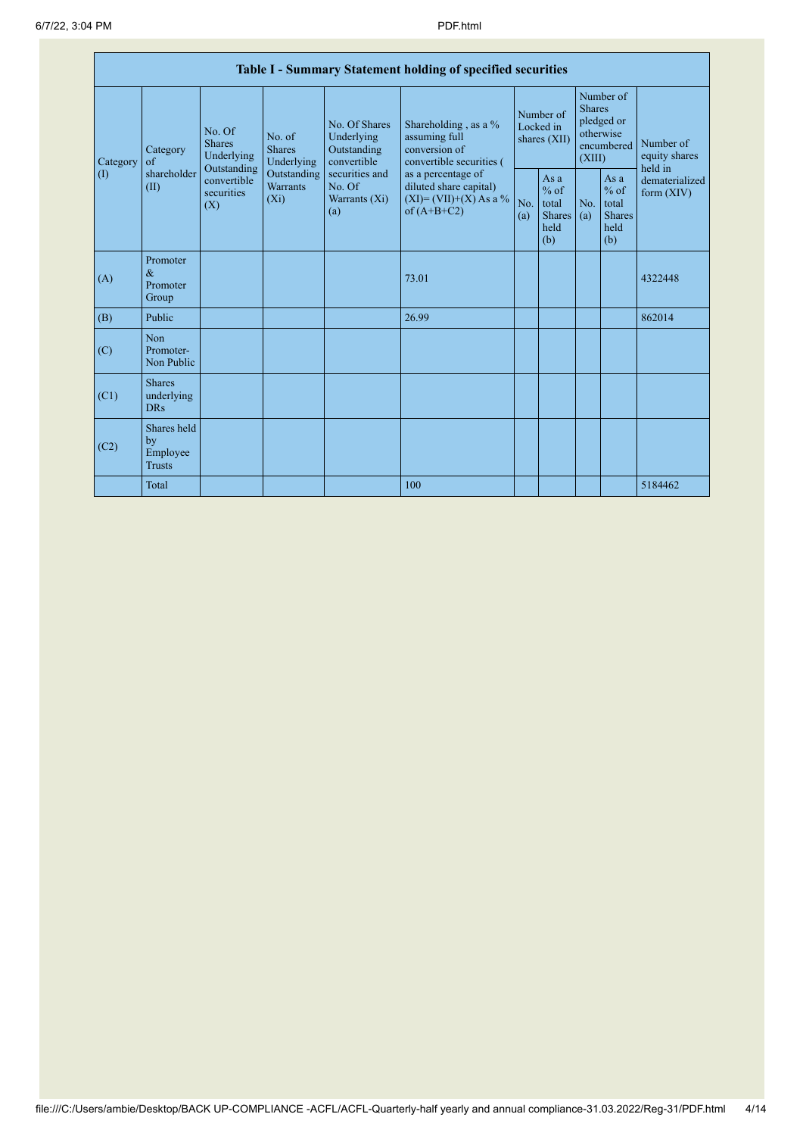|                                               | Table I - Summary Statement holding of specified securities |                                                                                                                                                                                |                                                  |                                                                                            |                                                                                    |                                                         |            |                                                                               |                                |                                       |  |  |
|-----------------------------------------------|-------------------------------------------------------------|--------------------------------------------------------------------------------------------------------------------------------------------------------------------------------|--------------------------------------------------|--------------------------------------------------------------------------------------------|------------------------------------------------------------------------------------|---------------------------------------------------------|------------|-------------------------------------------------------------------------------|--------------------------------|---------------------------------------|--|--|
| Category<br>$\left( \mathrm{I}\right)$<br>(A) | Category<br>of<br>shareholder<br>(II)                       | No. Of<br>No. of<br><b>Shares</b><br><b>Shares</b><br>Underlying<br>Underlying<br>Outstanding<br>Outstanding<br>convertible<br><b>Warrants</b><br>securities<br>$(X_i)$<br>(X) |                                                  | No. Of Shares<br>Underlying<br>Outstanding<br>convertible                                  | Shareholding, as a %<br>assuming full<br>conversion of<br>convertible securities ( | Number of<br>Locked in<br>shares $(XII)$                |            | Number of<br><b>Shares</b><br>pledged or<br>otherwise<br>encumbered<br>(XIII) |                                | Number of<br>equity shares<br>held in |  |  |
|                                               |                                                             |                                                                                                                                                                                | securities and<br>No. Of<br>Warrants (Xi)<br>(a) | as a percentage of<br>diluted share capital)<br>$(XI) = (VII)+(X) As a %$<br>of $(A+B+C2)$ | No.<br>(a)                                                                         | As a<br>$%$ of<br>total<br><b>Shares</b><br>held<br>(b) | No.<br>(a) | As a<br>$%$ of<br>total<br><b>Shares</b><br>held<br>(b)                       | dematerialized<br>form $(XIV)$ |                                       |  |  |
|                                               | Promoter<br>$\&$<br>Promoter<br>Group                       |                                                                                                                                                                                |                                                  |                                                                                            | 73.01                                                                              |                                                         |            |                                                                               |                                | 4322448                               |  |  |
| (B)                                           | Public                                                      |                                                                                                                                                                                |                                                  |                                                                                            | 26.99                                                                              |                                                         |            |                                                                               |                                | 862014                                |  |  |
| (C)                                           | Non<br>Promoter-<br>Non Public                              |                                                                                                                                                                                |                                                  |                                                                                            |                                                                                    |                                                         |            |                                                                               |                                |                                       |  |  |
| (C1)                                          | <b>Shares</b><br>underlying<br><b>DRs</b>                   |                                                                                                                                                                                |                                                  |                                                                                            |                                                                                    |                                                         |            |                                                                               |                                |                                       |  |  |
| (C2)                                          | Shares held<br>by<br>Employee<br><b>Trusts</b>              |                                                                                                                                                                                |                                                  |                                                                                            |                                                                                    |                                                         |            |                                                                               |                                |                                       |  |  |
|                                               | Total                                                       |                                                                                                                                                                                |                                                  |                                                                                            | 100                                                                                |                                                         |            |                                                                               |                                | 5184462                               |  |  |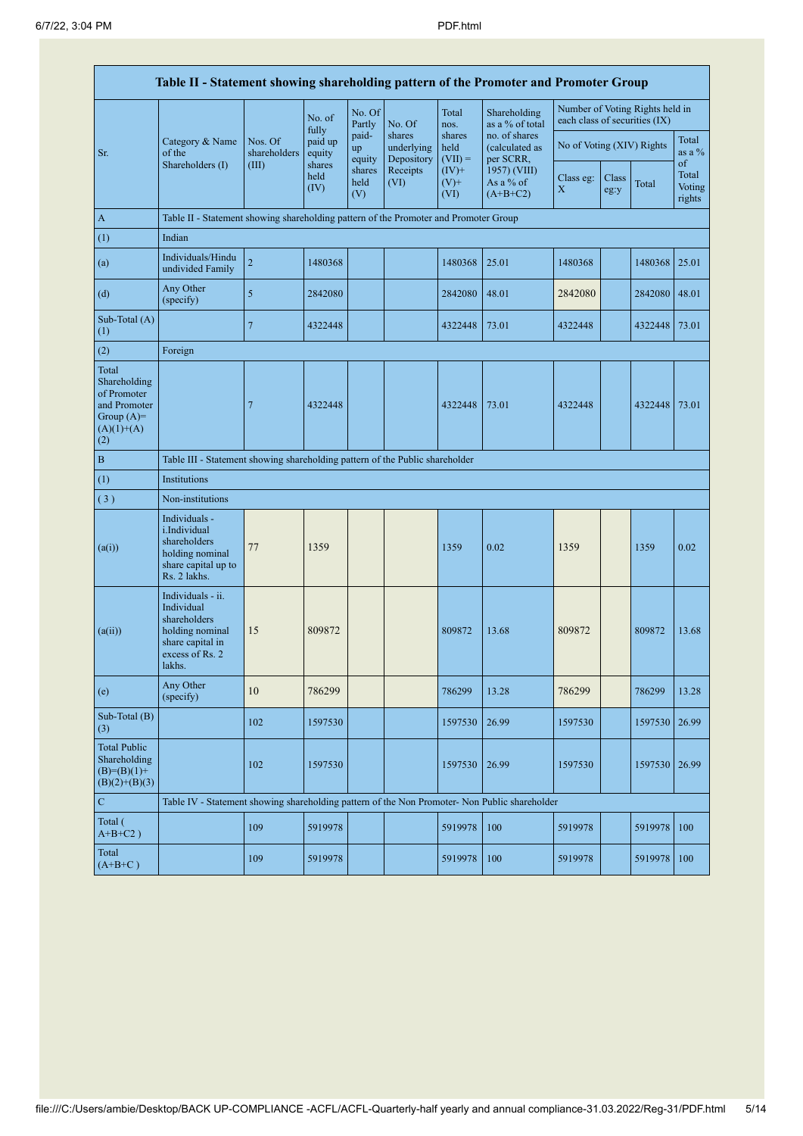|                                                                                             | Table II - Statement showing shareholding pattern of the Promoter and Promoter Group                                |                         |                            |                       |                                    |                             |                                              |                               |               |                                 |                                 |  |
|---------------------------------------------------------------------------------------------|---------------------------------------------------------------------------------------------------------------------|-------------------------|----------------------------|-----------------------|------------------------------------|-----------------------------|----------------------------------------------|-------------------------------|---------------|---------------------------------|---------------------------------|--|
|                                                                                             |                                                                                                                     |                         | No. of                     | No. Of<br>Partly      | No. Of                             | Total<br>nos.               | Shareholding<br>as a % of total              | each class of securities (IX) |               | Number of Voting Rights held in |                                 |  |
| Sr.                                                                                         | Category & Name<br>of the                                                                                           | Nos. Of<br>shareholders | fully<br>paid up<br>equity | paid-<br>up<br>equity | shares<br>underlying<br>Depository | shares<br>held<br>$(VII) =$ | no. of shares<br>(calculated as<br>per SCRR, | No of Voting (XIV) Rights     |               |                                 | Total<br>as a $\%$              |  |
|                                                                                             | Shareholders (I)                                                                                                    | (III)                   | shares<br>held<br>(IV)     | shares<br>held<br>(V) | Receipts<br>(VI)                   | $(IV)$ +<br>$(V)$ +<br>(VI) | 1957) (VIII)<br>As a % of<br>$(A+B+C2)$      | Class eg:<br>X                | Class<br>eg:y | Total                           | of<br>Total<br>Voting<br>rights |  |
| $\mathbf{A}$                                                                                | Table II - Statement showing shareholding pattern of the Promoter and Promoter Group                                |                         |                            |                       |                                    |                             |                                              |                               |               |                                 |                                 |  |
| (1)                                                                                         | Indian                                                                                                              |                         |                            |                       |                                    |                             |                                              |                               |               |                                 |                                 |  |
| (a)                                                                                         | Individuals/Hindu<br>undivided Family                                                                               | $\sqrt{2}$              | 1480368                    |                       |                                    | 1480368                     | 25.01                                        | 1480368                       |               | 1480368                         | 25.01                           |  |
| (d)                                                                                         | Any Other<br>(specify)                                                                                              | 5                       | 2842080                    |                       |                                    | 2842080                     | 48.01                                        | 2842080                       |               | 2842080                         | 48.01                           |  |
| Sub-Total (A)<br>(1)                                                                        |                                                                                                                     | $\overline{7}$          | 4322448                    |                       |                                    | 4322448                     | 73.01                                        | 4322448                       |               | 4322448                         | 73.01                           |  |
| (2)                                                                                         | Foreign                                                                                                             |                         |                            |                       |                                    |                             |                                              |                               |               |                                 |                                 |  |
| Total<br>Shareholding<br>of Promoter<br>and Promoter<br>Group $(A)=$<br>$(A)(1)+(A)$<br>(2) |                                                                                                                     | 7                       | 4322448                    |                       |                                    | 4322448                     | 73.01                                        | 4322448                       |               | 4322448                         | 73.01                           |  |
| $\bf{B}$                                                                                    | Table III - Statement showing shareholding pattern of the Public shareholder                                        |                         |                            |                       |                                    |                             |                                              |                               |               |                                 |                                 |  |
| (1)                                                                                         | Institutions                                                                                                        |                         |                            |                       |                                    |                             |                                              |                               |               |                                 |                                 |  |
| (3)                                                                                         | Non-institutions                                                                                                    |                         |                            |                       |                                    |                             |                                              |                               |               |                                 |                                 |  |
| (a(i))                                                                                      | Individuals -<br>i.Individual<br>shareholders<br>holding nominal<br>share capital up to<br>Rs. 2 lakhs.             | 77                      | 1359                       |                       |                                    | 1359                        | 0.02                                         | 1359                          |               | 1359                            | 0.02                            |  |
| (a(ii))                                                                                     | Individuals - ii.<br>Individual<br>shareholders<br>holding nominal<br>share capital in<br>excess of Rs. 2<br>lakhs. | 15                      | 809872                     |                       |                                    | 809872                      | 13.68                                        | 809872                        |               | 809872                          | 13.68                           |  |
| (e)                                                                                         | Any Other<br>(specify)                                                                                              | 10                      | 786299                     |                       |                                    | 786299                      | 13.28                                        | 786299                        |               | 786299                          | 13.28                           |  |
| Sub-Total (B)<br>(3)                                                                        |                                                                                                                     | 102                     | 1597530                    |                       |                                    | 1597530                     | 26.99                                        | 1597530                       |               | 1597530                         | 26.99                           |  |
| <b>Total Public</b><br>Shareholding<br>$(B)= (B)(1) +$<br>$(B)(2)+(B)(3)$                   |                                                                                                                     | 102                     | 1597530                    |                       |                                    | 1597530                     | 26.99                                        | 1597530                       |               | 1597530                         | 26.99                           |  |
| ${\bf C}$                                                                                   | Table IV - Statement showing shareholding pattern of the Non Promoter- Non Public shareholder                       |                         |                            |                       |                                    |                             |                                              |                               |               |                                 |                                 |  |
| Total (<br>$A+B+C2$ )                                                                       |                                                                                                                     | 109                     | 5919978                    |                       |                                    | 5919978                     | 100                                          | 5919978                       |               | 5919978                         | 100                             |  |
| Total<br>$(A+B+C)$                                                                          |                                                                                                                     | 109                     | 5919978                    |                       |                                    | 5919978                     | 100                                          | 5919978                       |               | 5919978                         | 100                             |  |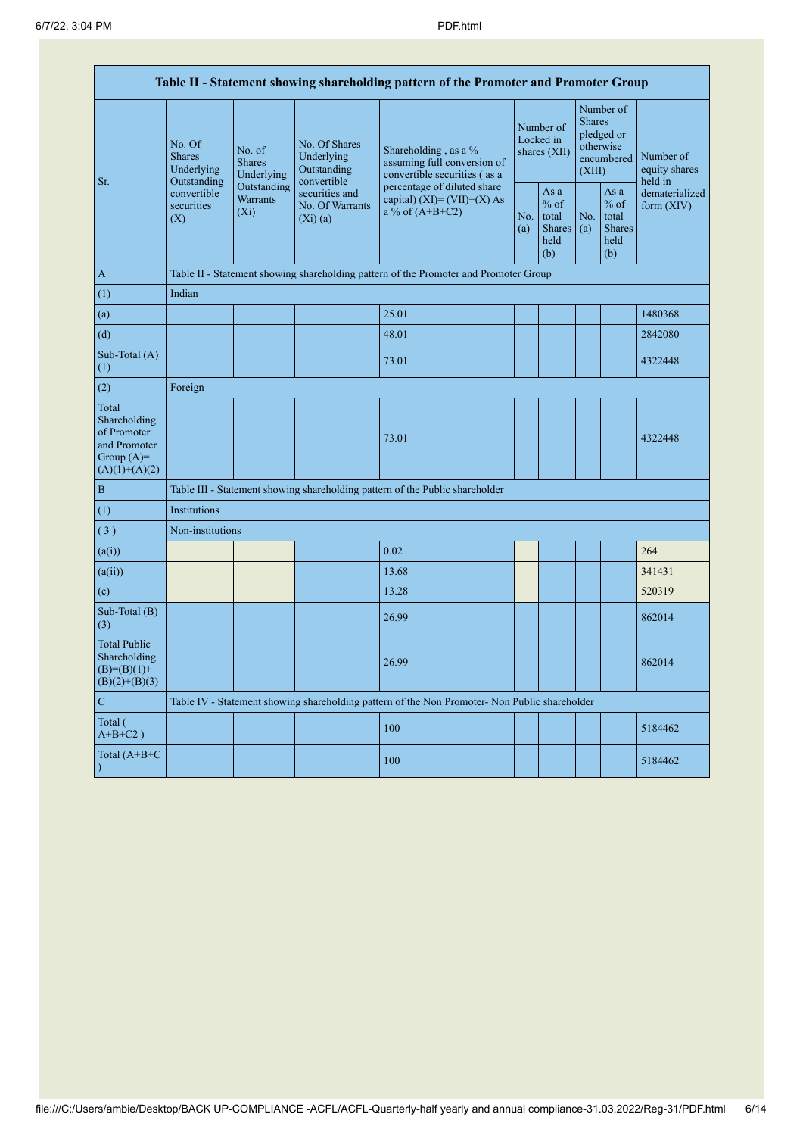| Table II - Statement showing shareholding pattern of the Promoter and Promoter Group    |                                                                                                                                |                                                                                      |                                                           |                                                                                               |                                        |                                                         |                                                                               |                                                         |                                       |  |  |  |
|-----------------------------------------------------------------------------------------|--------------------------------------------------------------------------------------------------------------------------------|--------------------------------------------------------------------------------------|-----------------------------------------------------------|-----------------------------------------------------------------------------------------------|----------------------------------------|---------------------------------------------------------|-------------------------------------------------------------------------------|---------------------------------------------------------|---------------------------------------|--|--|--|
| Sr.                                                                                     | No. Of<br>No. of<br><b>Shares</b><br><b>Shares</b><br>Underlying<br>Outstanding<br>convertible<br>securities<br>$(X_i)$<br>(X) | Underlying                                                                           | No. Of Shares<br>Underlying<br>Outstanding<br>convertible | Shareholding, as a %<br>assuming full conversion of<br>convertible securities (as a           | Number of<br>Locked in<br>shares (XII) |                                                         | Number of<br><b>Shares</b><br>pledged or<br>otherwise<br>encumbered<br>(XIII) |                                                         | Number of<br>equity shares<br>held in |  |  |  |
|                                                                                         |                                                                                                                                | Outstanding<br><b>Warrants</b>                                                       | securities and<br>No. Of Warrants<br>(Xi)(a)              | percentage of diluted share<br>capital) $(XI) = (VII)+(X) As$<br>a % of $(A+B+C2)$            | No.<br>(a)                             | As a<br>$%$ of<br>total<br><b>Shares</b><br>held<br>(b) | No.<br>(a)                                                                    | As a<br>$%$ of<br>total<br><b>Shares</b><br>held<br>(b) | dematerialized<br>form (XIV)          |  |  |  |
| $\mathbf{A}$                                                                            |                                                                                                                                | Table II - Statement showing shareholding pattern of the Promoter and Promoter Group |                                                           |                                                                                               |                                        |                                                         |                                                                               |                                                         |                                       |  |  |  |
| (1)                                                                                     | Indian                                                                                                                         |                                                                                      |                                                           |                                                                                               |                                        |                                                         |                                                                               |                                                         |                                       |  |  |  |
| (a)                                                                                     |                                                                                                                                |                                                                                      |                                                           | 25.01                                                                                         |                                        |                                                         |                                                                               |                                                         | 1480368                               |  |  |  |
| (d)                                                                                     |                                                                                                                                |                                                                                      |                                                           | 48.01                                                                                         |                                        |                                                         |                                                                               |                                                         | 2842080                               |  |  |  |
| Sub-Total (A)<br>(1)                                                                    |                                                                                                                                |                                                                                      |                                                           | 73.01                                                                                         |                                        |                                                         |                                                                               |                                                         | 4322448                               |  |  |  |
| (2)                                                                                     | Foreign                                                                                                                        |                                                                                      |                                                           |                                                                                               |                                        |                                                         |                                                                               |                                                         |                                       |  |  |  |
| Total<br>Shareholding<br>of Promoter<br>and Promoter<br>Group $(A)=$<br>$(A)(1)+(A)(2)$ |                                                                                                                                |                                                                                      |                                                           | 73.01                                                                                         |                                        |                                                         |                                                                               |                                                         | 4322448                               |  |  |  |
| $\, {\bf B}$                                                                            |                                                                                                                                |                                                                                      |                                                           | Table III - Statement showing shareholding pattern of the Public shareholder                  |                                        |                                                         |                                                                               |                                                         |                                       |  |  |  |
| (1)                                                                                     | Institutions                                                                                                                   |                                                                                      |                                                           |                                                                                               |                                        |                                                         |                                                                               |                                                         |                                       |  |  |  |
| (3)                                                                                     | Non-institutions                                                                                                               |                                                                                      |                                                           |                                                                                               |                                        |                                                         |                                                                               |                                                         |                                       |  |  |  |
| (a(i))                                                                                  |                                                                                                                                |                                                                                      |                                                           | 0.02                                                                                          |                                        |                                                         |                                                                               |                                                         | 264                                   |  |  |  |
| (a(ii))                                                                                 |                                                                                                                                |                                                                                      |                                                           | 13.68                                                                                         |                                        |                                                         |                                                                               |                                                         | 341431                                |  |  |  |
| (e)                                                                                     |                                                                                                                                |                                                                                      |                                                           | 13.28                                                                                         |                                        |                                                         |                                                                               |                                                         | 520319                                |  |  |  |
| Sub-Total (B)<br>(3)                                                                    |                                                                                                                                |                                                                                      |                                                           | 26.99                                                                                         |                                        |                                                         |                                                                               |                                                         | 862014                                |  |  |  |
| <b>Total Public</b><br>Shareholding<br>$(B)= (B)(1) +$<br>$(B)(2)+(B)(3)$               |                                                                                                                                |                                                                                      |                                                           | 26.99                                                                                         |                                        |                                                         |                                                                               |                                                         | 862014                                |  |  |  |
| $\mathbf C$                                                                             |                                                                                                                                |                                                                                      |                                                           | Table IV - Statement showing shareholding pattern of the Non Promoter- Non Public shareholder |                                        |                                                         |                                                                               |                                                         |                                       |  |  |  |
| Total (<br>$A+B+C2$ )                                                                   |                                                                                                                                |                                                                                      |                                                           | 100                                                                                           |                                        |                                                         |                                                                               |                                                         | 5184462                               |  |  |  |
| Total $(A+B+C)$<br>$\lambda$                                                            |                                                                                                                                |                                                                                      |                                                           | 100                                                                                           |                                        |                                                         |                                                                               |                                                         | 5184462                               |  |  |  |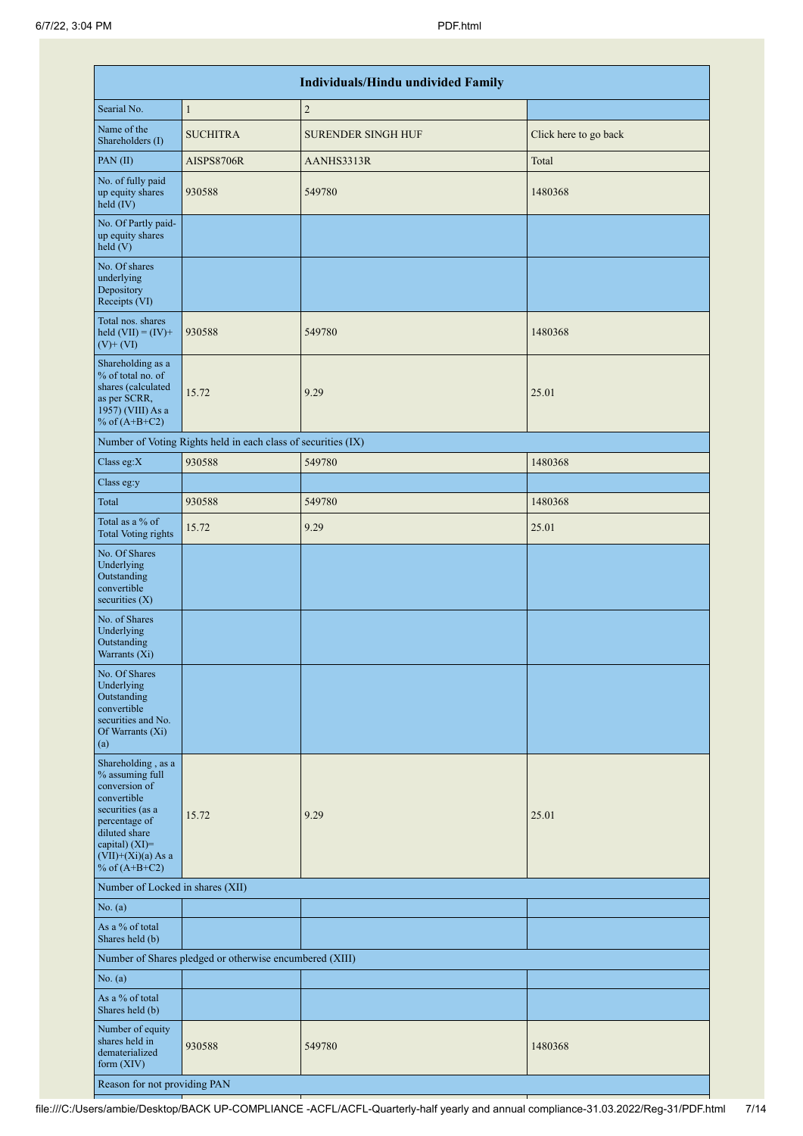|                                                                                                                                                                                          |                                                               | <b>Individuals/Hindu undivided Family</b> |                       |
|------------------------------------------------------------------------------------------------------------------------------------------------------------------------------------------|---------------------------------------------------------------|-------------------------------------------|-----------------------|
| Searial No.                                                                                                                                                                              | $\mathbf{1}$                                                  | $\overline{2}$                            |                       |
| Name of the<br>Shareholders (I)                                                                                                                                                          | <b>SUCHITRA</b>                                               | <b>SURENDER SINGH HUF</b>                 | Click here to go back |
| PAN(II)                                                                                                                                                                                  | AISPS8706R                                                    | AANHS3313R                                | Total                 |
| No. of fully paid<br>up equity shares<br>held (IV)                                                                                                                                       | 930588                                                        | 549780                                    | 1480368               |
| No. Of Partly paid-<br>up equity shares<br>held(V)                                                                                                                                       |                                                               |                                           |                       |
| No. Of shares<br>underlying<br>Depository<br>Receipts (VI)                                                                                                                               |                                                               |                                           |                       |
| Total nos. shares<br>held $(VII) = (IV) +$<br>$(V)$ + $(VI)$                                                                                                                             | 930588                                                        | 549780                                    | 1480368               |
| Shareholding as a<br>% of total no. of<br>shares (calculated<br>as per SCRR,<br>1957) (VIII) As a<br>% of $(A+B+C2)$                                                                     | 15.72                                                         | 9.29                                      | 25.01                 |
|                                                                                                                                                                                          | Number of Voting Rights held in each class of securities (IX) |                                           |                       |
| Class eg:X                                                                                                                                                                               | 930588                                                        | 549780                                    | 1480368               |
| Class eg:y                                                                                                                                                                               |                                                               |                                           |                       |
| Total                                                                                                                                                                                    | 930588                                                        | 549780                                    | 1480368               |
| Total as a % of<br><b>Total Voting rights</b>                                                                                                                                            | 15.72                                                         | 9.29                                      | 25.01                 |
| No. Of Shares<br>Underlying<br>Outstanding<br>convertible<br>securities $(X)$                                                                                                            |                                                               |                                           |                       |
| No. of Shares<br>Underlying<br>Outstanding<br>Warrants (Xi)                                                                                                                              |                                                               |                                           |                       |
| No. Of Shares<br>Underlying<br>Outstanding<br>convertible<br>securities and No.<br>Of Warrants (Xi)<br>(a)                                                                               |                                                               |                                           |                       |
| Shareholding, as a<br>% assuming full<br>conversion of<br>convertible<br>securities (as a<br>percentage of<br>diluted share<br>capital) (XI)=<br>$(VII)+(Xi)(a)$ As a<br>% of $(A+B+C2)$ | 15.72                                                         | 9.29                                      | 25.01                 |
| Number of Locked in shares (XII)                                                                                                                                                         |                                                               |                                           |                       |
| No. (a)                                                                                                                                                                                  |                                                               |                                           |                       |
| As a % of total<br>Shares held (b)                                                                                                                                                       |                                                               |                                           |                       |
|                                                                                                                                                                                          | Number of Shares pledged or otherwise encumbered (XIII)       |                                           |                       |
| No. (a)                                                                                                                                                                                  |                                                               |                                           |                       |
| As a % of total<br>Shares held (b)                                                                                                                                                       |                                                               |                                           |                       |
| Number of equity<br>shares held in<br>dematerialized<br>form (XIV)                                                                                                                       | 930588                                                        | 549780                                    | 1480368               |
| Reason for not providing PAN                                                                                                                                                             |                                                               |                                           |                       |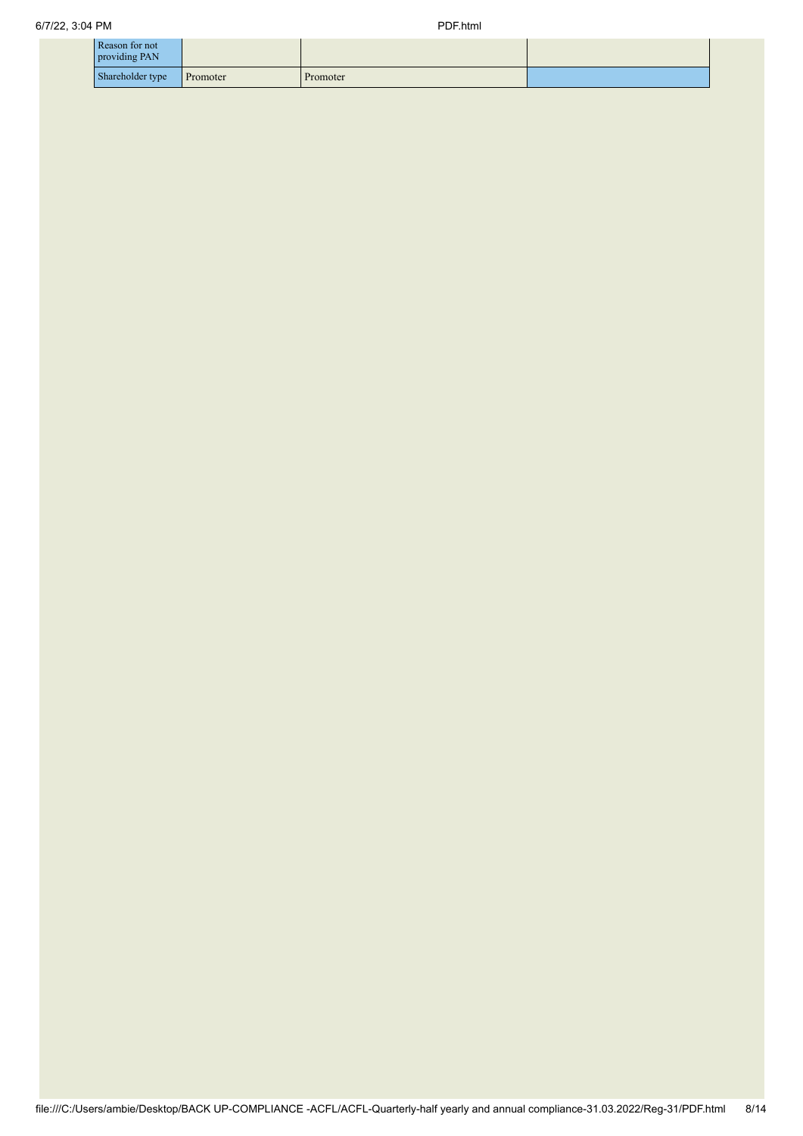| Reason for not<br>providing PAN |          |          |  |
|---------------------------------|----------|----------|--|
| Shareholder type                | Promoter | Promoter |  |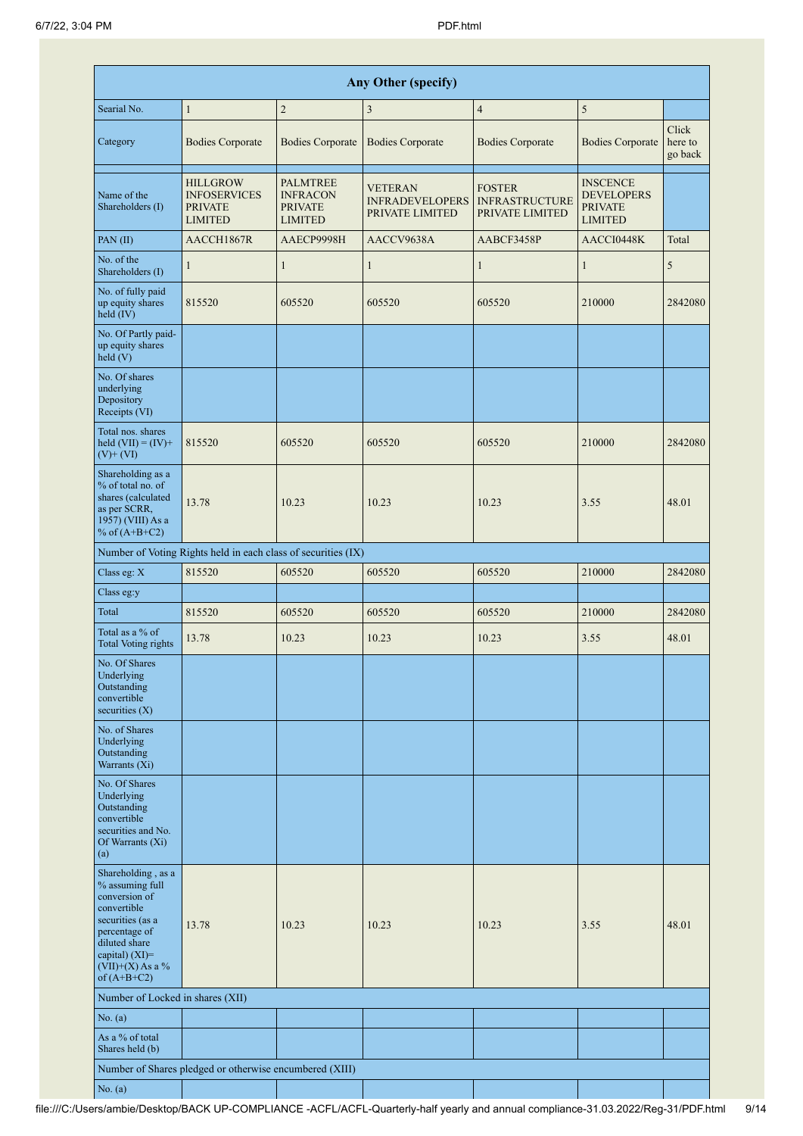|                                                                                                                                                                                      | <b>Any Other (specify)</b>                                                 |                                                                        |                                                             |                                                           |                                                                          |                             |  |  |  |  |  |  |  |
|--------------------------------------------------------------------------------------------------------------------------------------------------------------------------------------|----------------------------------------------------------------------------|------------------------------------------------------------------------|-------------------------------------------------------------|-----------------------------------------------------------|--------------------------------------------------------------------------|-----------------------------|--|--|--|--|--|--|--|
| Searial No.                                                                                                                                                                          | $\mathbf{1}$                                                               | $\overline{2}$                                                         | 3                                                           | $\overline{4}$                                            | 5                                                                        |                             |  |  |  |  |  |  |  |
| Category                                                                                                                                                                             | <b>Bodies Corporate</b>                                                    | <b>Bodies Corporate</b>                                                | <b>Bodies Corporate</b>                                     | <b>Bodies Corporate</b>                                   | <b>Bodies Corporate</b>                                                  | Click<br>here to<br>go back |  |  |  |  |  |  |  |
| Name of the<br>Shareholders (I)                                                                                                                                                      | <b>HILLGROW</b><br><b>INFOSERVICES</b><br><b>PRIVATE</b><br><b>LIMITED</b> | <b>PALMTREE</b><br><b>INFRACON</b><br><b>PRIVATE</b><br><b>LIMITED</b> | <b>VETERAN</b><br><b>INFRADEVELOPERS</b><br>PRIVATE LIMITED | <b>FOSTER</b><br><b>INFRASTRUCTURE</b><br>PRIVATE LIMITED | <b>INSCENCE</b><br><b>DEVELOPERS</b><br><b>PRIVATE</b><br><b>LIMITED</b> |                             |  |  |  |  |  |  |  |
| PAN(II)                                                                                                                                                                              | AACCH1867R                                                                 | AAECP9998H                                                             | AACCV9638A                                                  | AABCF3458P                                                | AACCI0448K                                                               | Total                       |  |  |  |  |  |  |  |
| No. of the<br>Shareholders (I)                                                                                                                                                       | $\mathbf{1}$                                                               | $\mathbf{1}$                                                           | $\mathbf{1}$                                                | $\mathbf{1}$                                              | $\mathbf{1}$                                                             | 5                           |  |  |  |  |  |  |  |
| No. of fully paid<br>up equity shares<br>$held$ (IV)                                                                                                                                 | 815520                                                                     | 605520                                                                 | 605520                                                      | 605520                                                    | 210000                                                                   | 2842080                     |  |  |  |  |  |  |  |
| No. Of Partly paid-<br>up equity shares<br>held(V)                                                                                                                                   |                                                                            |                                                                        |                                                             |                                                           |                                                                          |                             |  |  |  |  |  |  |  |
| No. Of shares<br>underlying<br>Depository<br>Receipts (VI)                                                                                                                           |                                                                            |                                                                        |                                                             |                                                           |                                                                          |                             |  |  |  |  |  |  |  |
| Total nos. shares<br>held $(VII) = (IV) +$<br>$(V)+(VI)$                                                                                                                             | 815520                                                                     | 605520                                                                 | 605520                                                      | 605520                                                    | 210000                                                                   | 2842080                     |  |  |  |  |  |  |  |
| Shareholding as a<br>% of total no. of<br>shares (calculated<br>as per SCRR,<br>1957) (VIII) As a<br>% of $(A+B+C2)$                                                                 | 13.78                                                                      | 10.23                                                                  | 10.23                                                       | 10.23                                                     | 3.55                                                                     | 48.01                       |  |  |  |  |  |  |  |
|                                                                                                                                                                                      | Number of Voting Rights held in each class of securities (IX)              |                                                                        |                                                             |                                                           |                                                                          |                             |  |  |  |  |  |  |  |
| Class eg: X                                                                                                                                                                          | 815520                                                                     | 605520                                                                 | 605520                                                      | 605520                                                    | 210000                                                                   | 2842080                     |  |  |  |  |  |  |  |
| Class eg:y                                                                                                                                                                           |                                                                            |                                                                        |                                                             |                                                           |                                                                          |                             |  |  |  |  |  |  |  |
| Total                                                                                                                                                                                | 815520                                                                     | 605520                                                                 | 605520                                                      | 605520                                                    | 210000                                                                   | 2842080                     |  |  |  |  |  |  |  |
| Total as a % of<br><b>Total Voting rights</b>                                                                                                                                        | 13.78                                                                      | 10.23                                                                  | 10.23                                                       | 10.23                                                     | 3.55                                                                     | 48.01                       |  |  |  |  |  |  |  |
| No. Of Shares<br>Underlying<br>Outstanding<br>convertible<br>securities $(X)$                                                                                                        |                                                                            |                                                                        |                                                             |                                                           |                                                                          |                             |  |  |  |  |  |  |  |
| No. of Shares<br>Underlying<br>Outstanding<br>Warrants (Xi)                                                                                                                          |                                                                            |                                                                        |                                                             |                                                           |                                                                          |                             |  |  |  |  |  |  |  |
| No. Of Shares<br>Underlying<br>Outstanding<br>convertible<br>securities and No.<br>Of Warrants (Xi)<br>(a)                                                                           |                                                                            |                                                                        |                                                             |                                                           |                                                                          |                             |  |  |  |  |  |  |  |
| Shareholding, as a<br>% assuming full<br>conversion of<br>convertible<br>securities (as a<br>percentage of<br>diluted share<br>capital) (XI)=<br>$(VII)+(X)$ As a %<br>of $(A+B+C2)$ | 13.78                                                                      | 10.23                                                                  | 10.23                                                       | 10.23                                                     | 3.55                                                                     | 48.01                       |  |  |  |  |  |  |  |
| Number of Locked in shares (XII)                                                                                                                                                     |                                                                            |                                                                        |                                                             |                                                           |                                                                          |                             |  |  |  |  |  |  |  |
| No. (a)                                                                                                                                                                              |                                                                            |                                                                        |                                                             |                                                           |                                                                          |                             |  |  |  |  |  |  |  |
| As a % of total<br>Shares held (b)                                                                                                                                                   |                                                                            |                                                                        |                                                             |                                                           |                                                                          |                             |  |  |  |  |  |  |  |
|                                                                                                                                                                                      | Number of Shares pledged or otherwise encumbered (XIII)                    |                                                                        |                                                             |                                                           |                                                                          |                             |  |  |  |  |  |  |  |
| No. (a)                                                                                                                                                                              |                                                                            |                                                                        |                                                             |                                                           |                                                                          |                             |  |  |  |  |  |  |  |

ı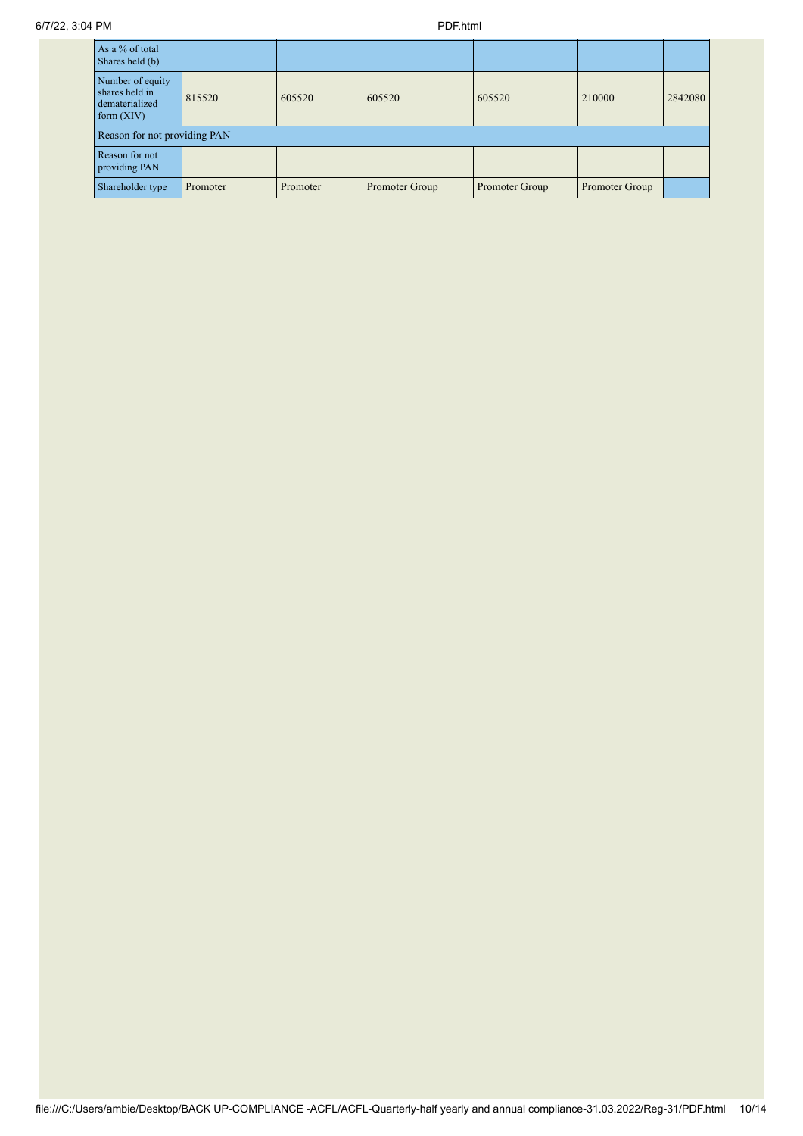| As a $\%$ of total<br>Shares held (b)                                |                              |          |                |                |                |         |  |  |  |  |
|----------------------------------------------------------------------|------------------------------|----------|----------------|----------------|----------------|---------|--|--|--|--|
| Number of equity<br>shares held in<br>dematerialized<br>form $(XIV)$ | 815520                       | 605520   | 605520         | 605520         | 210000         | 2842080 |  |  |  |  |
|                                                                      | Reason for not providing PAN |          |                |                |                |         |  |  |  |  |
| Reason for not<br>providing PAN                                      |                              |          |                |                |                |         |  |  |  |  |
| Shareholder type                                                     | Promoter                     | Promoter | Promoter Group | Promoter Group | Promoter Group |         |  |  |  |  |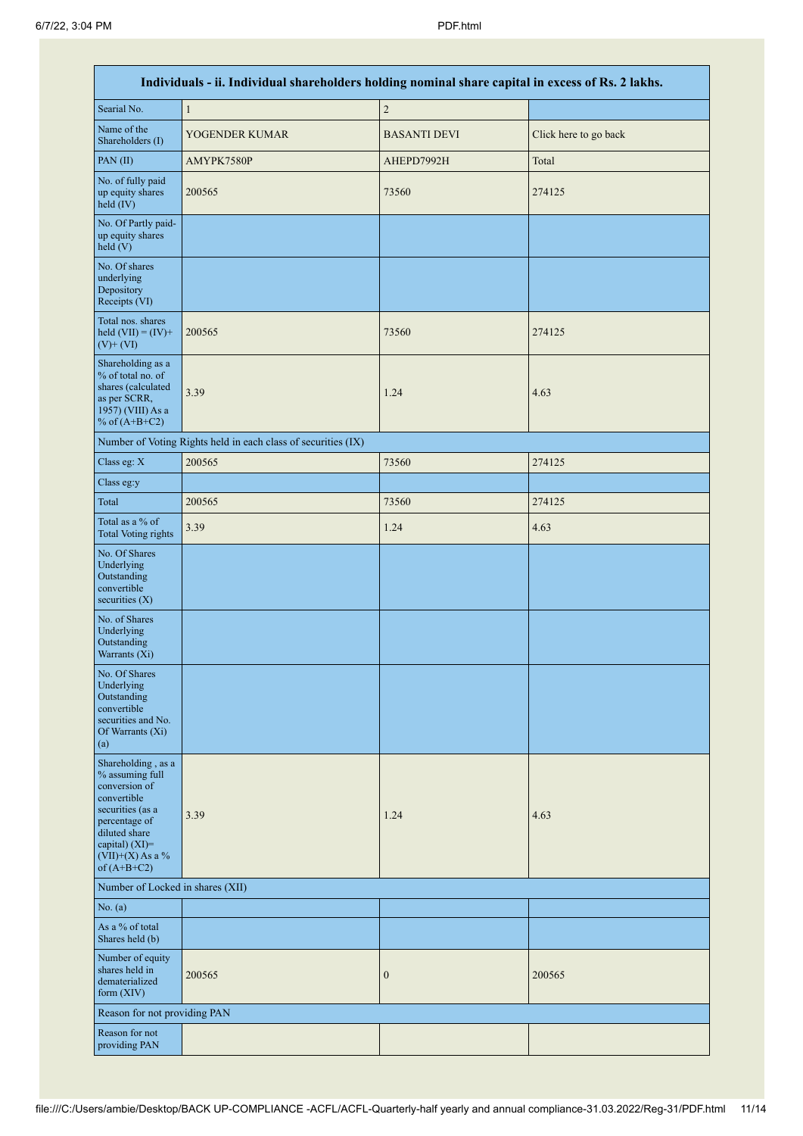|                                                                                                                                                                                      | Individuals - ii. Individual shareholders holding nominal share capital in excess of Rs. 2 lakhs. |                     |                       |
|--------------------------------------------------------------------------------------------------------------------------------------------------------------------------------------|---------------------------------------------------------------------------------------------------|---------------------|-----------------------|
| Searial No.                                                                                                                                                                          | $\,1$                                                                                             | $\sqrt{2}$          |                       |
| Name of the<br>Shareholders (I)                                                                                                                                                      | YOGENDER KUMAR                                                                                    | <b>BASANTI DEVI</b> | Click here to go back |
| PAN(II)                                                                                                                                                                              | AMYPK7580P                                                                                        | AHEPD7992H          | Total                 |
| No. of fully paid<br>up equity shares<br>held (IV)                                                                                                                                   | 200565                                                                                            | 73560               | 274125                |
| No. Of Partly paid-<br>up equity shares<br>$\text{held}(V)$                                                                                                                          |                                                                                                   |                     |                       |
| No. Of shares<br>underlying<br>Depository<br>Receipts (VI)                                                                                                                           |                                                                                                   |                     |                       |
| Total nos. shares<br>held $(VII) = (IV) +$<br>$(V)$ + $(VI)$                                                                                                                         | 200565                                                                                            | 73560               | 274125                |
| Shareholding as a<br>% of total no. of<br>shares (calculated<br>as per SCRR,<br>1957) (VIII) As a<br>% of $(A+B+C2)$                                                                 | 3.39                                                                                              | 1.24                | 4.63                  |
|                                                                                                                                                                                      | Number of Voting Rights held in each class of securities (IX)                                     |                     |                       |
| Class eg: X                                                                                                                                                                          | 200565                                                                                            | 73560               | 274125                |
| Class eg:y                                                                                                                                                                           |                                                                                                   |                     |                       |
| Total                                                                                                                                                                                | 200565                                                                                            | 73560               | 274125                |
| Total as a % of<br><b>Total Voting rights</b>                                                                                                                                        | 3.39                                                                                              | 1.24                | 4.63                  |
| No. Of Shares<br>Underlying<br>Outstanding<br>convertible<br>securities $(X)$                                                                                                        |                                                                                                   |                     |                       |
| No. of Shares<br>Underlying<br>Outstanding<br>Warrants (Xi)                                                                                                                          |                                                                                                   |                     |                       |
| No. Of Shares<br>Underlying<br>Outstanding<br>convertible<br>securities and No.<br>Of Warrants (Xi)<br>(a)                                                                           |                                                                                                   |                     |                       |
| Shareholding, as a<br>% assuming full<br>conversion of<br>convertible<br>securities (as a<br>percentage of<br>diluted share<br>capital) (XI)=<br>$(VII)+(X)$ As a %<br>of $(A+B+C2)$ | 3.39                                                                                              | 1.24                | 4.63                  |
| Number of Locked in shares (XII)                                                                                                                                                     |                                                                                                   |                     |                       |
| No. (a)                                                                                                                                                                              |                                                                                                   |                     |                       |
| As a % of total<br>Shares held (b)                                                                                                                                                   |                                                                                                   |                     |                       |
| Number of equity<br>shares held in<br>dematerialized<br>form (XIV)                                                                                                                   | 200565                                                                                            | $\boldsymbol{0}$    | 200565                |
| Reason for not providing PAN                                                                                                                                                         |                                                                                                   |                     |                       |
| Reason for not<br>providing PAN                                                                                                                                                      |                                                                                                   |                     |                       |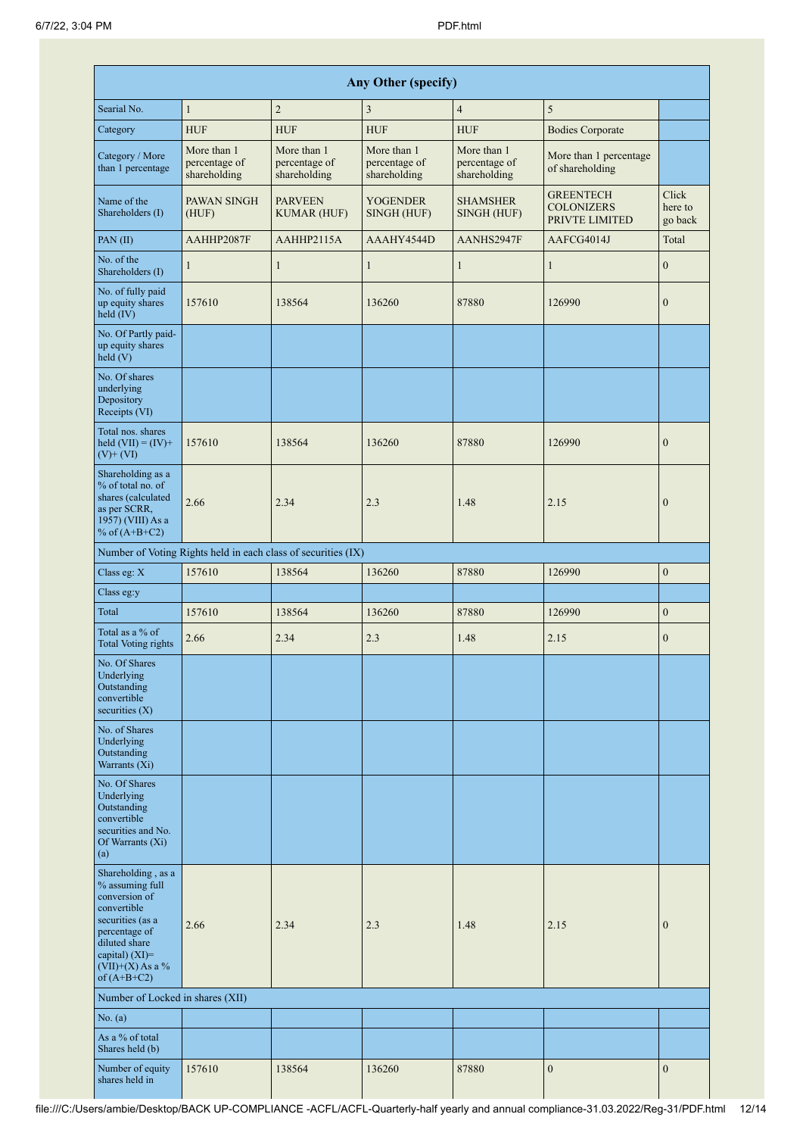|                                                                                                                                                                                         |                                              |                                                               | <b>Any Other (specify)</b>                   |                                              |                                                         |                             |
|-----------------------------------------------------------------------------------------------------------------------------------------------------------------------------------------|----------------------------------------------|---------------------------------------------------------------|----------------------------------------------|----------------------------------------------|---------------------------------------------------------|-----------------------------|
| Searial No.                                                                                                                                                                             | $\mathbf{1}$                                 | $\overline{c}$                                                | $\mathfrak{Z}$                               | $\overline{4}$                               | 5                                                       |                             |
| Category                                                                                                                                                                                | <b>HUF</b>                                   | <b>HUF</b>                                                    | <b>HUF</b>                                   | <b>HUF</b>                                   | <b>Bodies Corporate</b>                                 |                             |
| Category / More<br>than 1 percentage                                                                                                                                                    | More than 1<br>percentage of<br>shareholding | More than 1<br>percentage of<br>shareholding                  | More than 1<br>percentage of<br>shareholding | More than 1<br>percentage of<br>shareholding | More than 1 percentage<br>of shareholding               |                             |
| Name of the<br>Shareholders (I)                                                                                                                                                         | PAWAN SINGH<br>(HUF)                         | <b>PARVEEN</b><br><b>KUMAR (HUF)</b>                          | <b>YOGENDER</b><br>SINGH (HUF)               | <b>SHAMSHER</b><br>SINGH (HUF)               | <b>GREENTECH</b><br><b>COLONIZERS</b><br>PRIVTE LIMITED | Click<br>here to<br>go back |
| PAN(II)                                                                                                                                                                                 | AAHHP2087F                                   | AAHHP2115A                                                    | AAAHY4544D                                   | AANHS2947F                                   | AAFCG4014J                                              | Total                       |
| No. of the<br>Shareholders (I)                                                                                                                                                          | 1                                            | 1                                                             | 1                                            | 1                                            | $\mathbf{1}$                                            | $\boldsymbol{0}$            |
| No. of fully paid<br>up equity shares<br>held $(IV)$                                                                                                                                    | 157610                                       | 138564                                                        | 136260                                       | 87880                                        | 126990                                                  | $\boldsymbol{0}$            |
| No. Of Partly paid-<br>up equity shares<br>held (V)                                                                                                                                     |                                              |                                                               |                                              |                                              |                                                         |                             |
| No. Of shares<br>underlying<br>Depository<br>Receipts (VI)                                                                                                                              |                                              |                                                               |                                              |                                              |                                                         |                             |
| Total nos. shares<br>held $(VII) = (IV) +$<br>$(V)$ + $(VI)$                                                                                                                            | 157610                                       | 138564                                                        | 136260                                       | 87880                                        | 126990                                                  | $\boldsymbol{0}$            |
| Shareholding as a<br>% of total no. of<br>shares (calculated<br>as per SCRR,<br>1957) (VIII) As a<br>% of $(A+B+C2)$                                                                    | 2.66                                         | 2.34                                                          | 2.3                                          | 1.48                                         | 2.15                                                    | $\boldsymbol{0}$            |
|                                                                                                                                                                                         |                                              | Number of Voting Rights held in each class of securities (IX) |                                              |                                              |                                                         |                             |
| Class eg: X                                                                                                                                                                             | 157610                                       | 138564                                                        | 136260                                       | 87880                                        | 126990                                                  | $\boldsymbol{0}$            |
| Class eg:y                                                                                                                                                                              |                                              |                                                               |                                              |                                              |                                                         |                             |
| Total                                                                                                                                                                                   | 157610                                       | 138564                                                        | 136260                                       | 87880                                        | 126990                                                  | $\boldsymbol{0}$            |
| Total as a % of<br>Total Voting rights                                                                                                                                                  | 2.66                                         | 2.34                                                          | 2.3                                          | 1.48                                         | 2.15                                                    | $\boldsymbol{0}$            |
| No. Of Shares<br>Underlying<br>Outstanding<br>convertible<br>securities $(X)$                                                                                                           |                                              |                                                               |                                              |                                              |                                                         |                             |
| No. of Shares<br>Underlying<br>Outstanding<br>Warrants (Xi)                                                                                                                             |                                              |                                                               |                                              |                                              |                                                         |                             |
| No. Of Shares<br>Underlying<br>Outstanding<br>convertible<br>securities and No.<br>Of Warrants (Xi)<br>(a)                                                                              |                                              |                                                               |                                              |                                              |                                                         |                             |
| Shareholding, as a<br>% assuming full<br>conversion of<br>convertible<br>securities (as a<br>percentage of<br>diluted share<br>capital) $(XI)$ =<br>$(VII)+(X)$ As a %<br>of $(A+B+C2)$ | 2.66                                         | 2.34                                                          | 2.3                                          | 1.48                                         | 2.15                                                    | $\boldsymbol{0}$            |
| Number of Locked in shares (XII)                                                                                                                                                        |                                              |                                                               |                                              |                                              |                                                         |                             |
| No. (a)                                                                                                                                                                                 |                                              |                                                               |                                              |                                              |                                                         |                             |
| As a % of total<br>Shares held (b)                                                                                                                                                      |                                              |                                                               |                                              |                                              |                                                         |                             |
| Number of equity<br>shares held in                                                                                                                                                      | 157610                                       | 138564                                                        | 136260                                       | 87880                                        | $\boldsymbol{0}$                                        | $\boldsymbol{0}$            |

Т

 $\mathbf{I}$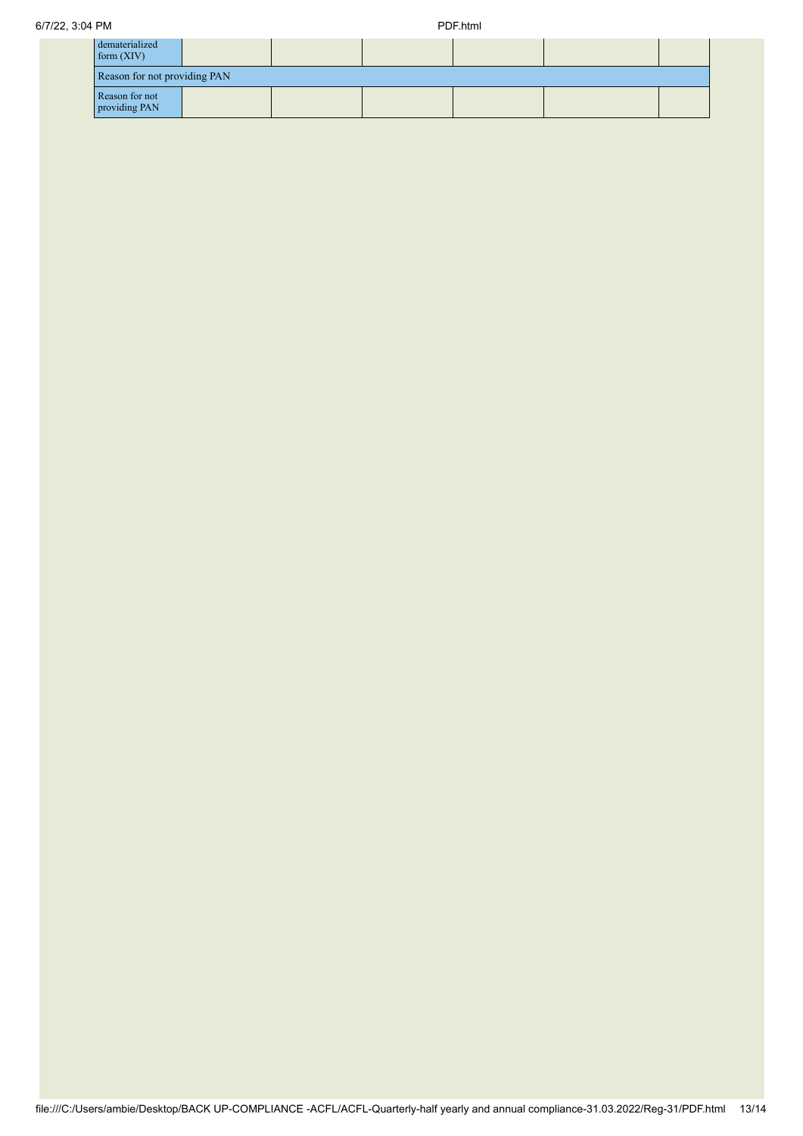| dematerialized<br>form $(XIV)$  |  |  |  |  |  |  |
|---------------------------------|--|--|--|--|--|--|
| Reason for not providing PAN    |  |  |  |  |  |  |
| Reason for not<br>providing PAN |  |  |  |  |  |  |